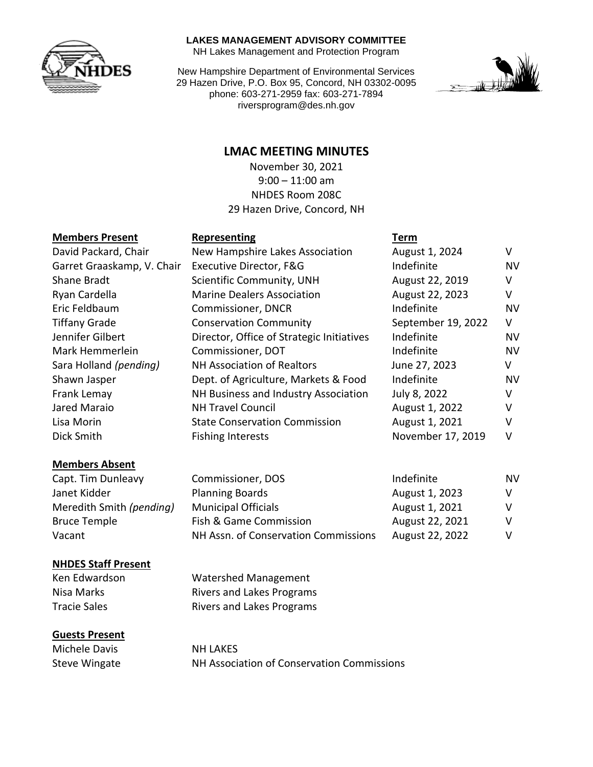

#### **LAKES MANAGEMENT ADVISORY COMMITTEE**

NH Lakes Management and Protection Program

New Hampshire Department of Environmental Services 29 Hazen Drive, P.O. Box 95, Concord, NH 03302-0095 phone: 603-271-2959 fax: 603-271-7894 riversprogram@des.nh.gov



# **LMAC MEETING MINUTES**

November 30, 2021 9:00 – 11:00 am NHDES Room 208C 29 Hazen Drive, Concord, NH

# **Members Present Representing Term**

| <u>INICITINEIS FIESEIIL</u> | <b>UCNICSCITTING</b>                      | 1 CH 111           |           |
|-----------------------------|-------------------------------------------|--------------------|-----------|
| David Packard, Chair        | New Hampshire Lakes Association           | August 1, 2024     | V         |
| Garret Graaskamp, V. Chair  | Executive Director, F&G                   | Indefinite         | <b>NV</b> |
| Shane Bradt                 | Scientific Community, UNH                 | August 22, 2019    | v         |
| Ryan Cardella               | <b>Marine Dealers Association</b>         | August 22, 2023    | V         |
| Eric Feldbaum               | Commissioner, DNCR                        | Indefinite         | <b>NV</b> |
| <b>Tiffany Grade</b>        | <b>Conservation Community</b>             | September 19, 2022 | V         |
| Jennifer Gilbert            | Director, Office of Strategic Initiatives | Indefinite         | <b>NV</b> |
| Mark Hemmerlein             | Commissioner, DOT                         | Indefinite         | <b>NV</b> |
| Sara Holland (pending)      | <b>NH Association of Realtors</b>         | June 27, 2023      | v         |
| Shawn Jasper                | Dept. of Agriculture, Markets & Food      | Indefinite         | <b>NV</b> |
| Frank Lemay                 | NH Business and Industry Association      | July 8, 2022       | v         |
| Jared Maraio                | <b>NH Travel Council</b>                  | August 1, 2022     | v         |
| Lisa Morin                  | <b>State Conservation Commission</b>      | August 1, 2021     | v         |
| Dick Smith                  | <b>Fishing Interests</b>                  | November 17, 2019  | v         |
|                             |                                           |                    |           |

#### **Members Absent**

| Capt. Tim Dunleavy       | Commissioner, DOS                    | Indefinite      | NV |
|--------------------------|--------------------------------------|-----------------|----|
| Janet Kidder             | <b>Planning Boards</b>               | August 1, 2023  | V. |
| Meredith Smith (pending) | <b>Municipal Officials</b>           | August 1, 2021  |    |
| <b>Bruce Temple</b>      | Fish & Game Commission               | August 22, 2021 | v  |
| Vacant                   | NH Assn. of Conservation Commissions | August 22, 2022 |    |

#### **NHDES Staff Present**

Ken Edwardson Watershed Management Nisa Marks **Rivers and Lakes Programs** Tracie Sales **Rivers** and Lakes Programs

#### **Guests Present**

Michele Davis NH LAKES

Steve Wingate NH Association of Conservation Commissions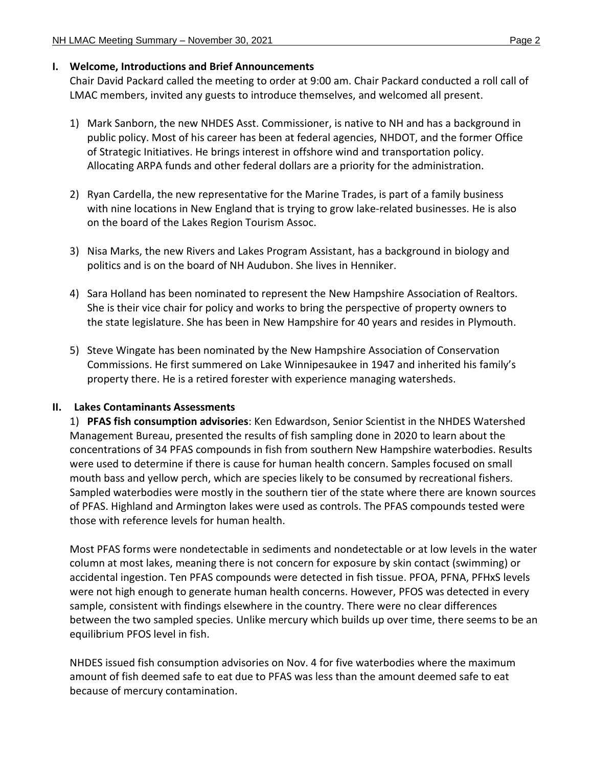#### **I. Welcome, Introductions and Brief Announcements**

Chair David Packard called the meeting to order at 9:00 am. Chair Packard conducted a roll call of LMAC members, invited any guests to introduce themselves, and welcomed all present.

- 1) Mark Sanborn, the new NHDES Asst. Commissioner, is native to NH and has a background in public policy. Most of his career has been at federal agencies, NHDOT, and the former Office of Strategic Initiatives. He brings interest in offshore wind and transportation policy. Allocating ARPA funds and other federal dollars are a priority for the administration.
- 2) Ryan Cardella, the new representative for the Marine Trades, is part of a family business with nine locations in New England that is trying to grow lake-related businesses. He is also on the board of the Lakes Region Tourism Assoc.
- 3) Nisa Marks, the new Rivers and Lakes Program Assistant, has a background in biology and politics and is on the board of NH Audubon. She lives in Henniker.
- 4) Sara Holland has been nominated to represent the New Hampshire Association of Realtors. She is their vice chair for policy and works to bring the perspective of property owners to the state legislature. She has been in New Hampshire for 40 years and resides in Plymouth.
- 5) Steve Wingate has been nominated by the New Hampshire Association of Conservation Commissions. He first summered on Lake Winnipesaukee in 1947 and inherited his family's property there. He is a retired forester with experience managing watersheds.

### **II. Lakes Contaminants Assessments**

1) **PFAS fish consumption advisories**: Ken Edwardson, Senior Scientist in the NHDES Watershed Management Bureau, presented the results of fish sampling done in 2020 to learn about the concentrations of 34 PFAS compounds in fish from southern New Hampshire waterbodies. Results were used to determine if there is cause for human health concern. Samples focused on small mouth bass and yellow perch, which are species likely to be consumed by recreational fishers. Sampled waterbodies were mostly in the southern tier of the state where there are known sources of PFAS. Highland and Armington lakes were used as controls. The PFAS compounds tested were those with reference levels for human health.

Most PFAS forms were nondetectable in sediments and nondetectable or at low levels in the water column at most lakes, meaning there is not concern for exposure by skin contact (swimming) or accidental ingestion. Ten PFAS compounds were detected in fish tissue. PFOA, PFNA, PFHxS levels were not high enough to generate human health concerns. However, PFOS was detected in every sample, consistent with findings elsewhere in the country. There were no clear differences between the two sampled species. Unlike mercury which builds up over time, there seems to be an equilibrium PFOS level in fish.

NHDES issued fish consumption advisories on Nov. 4 for five waterbodies where the maximum amount of fish deemed safe to eat due to PFAS was less than the amount deemed safe to eat because of mercury contamination.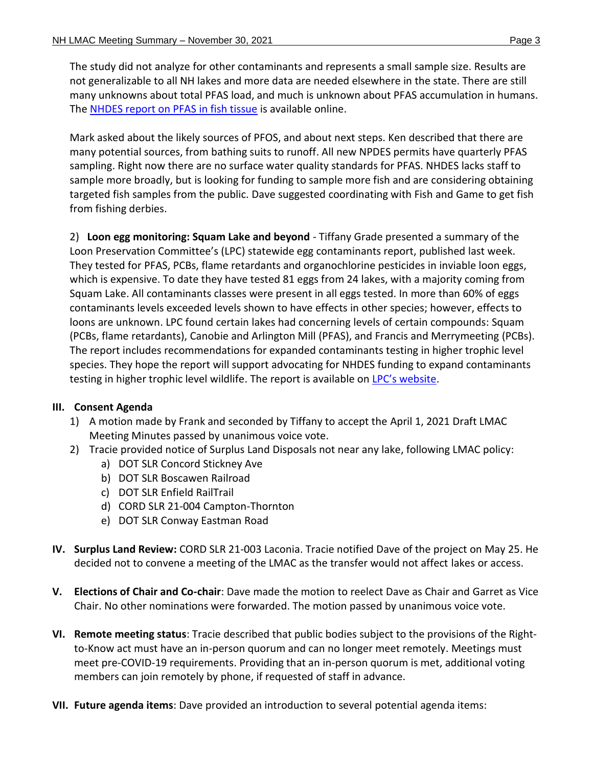The study did not analyze for other contaminants and represents a small sample size. Results are not generalizable to all NH lakes and more data are needed elsewhere in the state. There are still many unknowns about total PFAS load, and much is unknown about PFAS accumulation in humans. The NHDES report [on PFAS in fish tissue](https://www4.des.state.nh.us/nh-pfas-investigation/?p=1405) is available online.

Mark asked about the likely sources of PFOS, and about next steps. Ken described that there are many potential sources, from bathing suits to runoff. All new NPDES permits have quarterly PFAS sampling. Right now there are no surface water quality standards for PFAS. NHDES lacks staff to sample more broadly, but is looking for funding to sample more fish and are considering obtaining targeted fish samples from the public. Dave suggested coordinating with Fish and Game to get fish from fishing derbies.

2) **Loon egg monitoring: Squam Lake and beyond** - Tiffany Grade presented a summary of the Loon Preservation Committee's (LPC) statewide egg contaminants report, published last week. They tested for PFAS, PCBs, flame retardants and organochlorine pesticides in inviable loon eggs, which is expensive. To date they have tested 81 eggs from 24 lakes, with a majority coming from Squam Lake. All contaminants classes were present in all eggs tested. In more than 60% of eggs contaminants levels exceeded levels shown to have effects in other species; however, effects to loons are unknown. LPC found certain lakes had concerning levels of certain compounds: Squam (PCBs, flame retardants), Canobie and Arlington Mill (PFAS), and Francis and Merrymeeting (PCBs). The report includes recommendations for expanded contaminants testing in higher trophic level species. They hope the report will support advocating for NHDES funding to expand contaminants testing in higher trophic level wildlife. The report is available on LPC's [website.](https://loon.org/eggreport/)

# **III. Consent Agenda**

- 1) A motion made by Frank and seconded by Tiffany to accept the April 1, 2021 Draft LMAC Meeting Minutes passed by unanimous voice vote.
- 2) Tracie provided notice of Surplus Land Disposals not near any lake, following LMAC policy:
	- a) DOT SLR Concord Stickney Ave
	- b) DOT SLR Boscawen Railroad
	- c) DOT SLR Enfield RailTrail
	- d) CORD SLR 21-004 Campton-Thornton
	- e) DOT SLR Conway Eastman Road
- **IV. Surplus Land Review:** CORD SLR 21-003 Laconia. Tracie notified Dave of the project on May 25. He decided not to convene a meeting of the LMAC as the transfer would not affect lakes or access.
- **V. Elections of Chair and Co-chair**: Dave made the motion to reelect Dave as Chair and Garret as Vice Chair. No other nominations were forwarded. The motion passed by unanimous voice vote.
- **VI. Remote meeting status**: Tracie described that public bodies subject to the provisions of the Rightto-Know act must have an in-person quorum and can no longer meet remotely. Meetings must meet pre-COVID-19 requirements. Providing that an in-person quorum is met, additional voting members can join remotely by phone, if requested of staff in advance.
- **VII. Future agenda items**: Dave provided an introduction to several potential agenda items: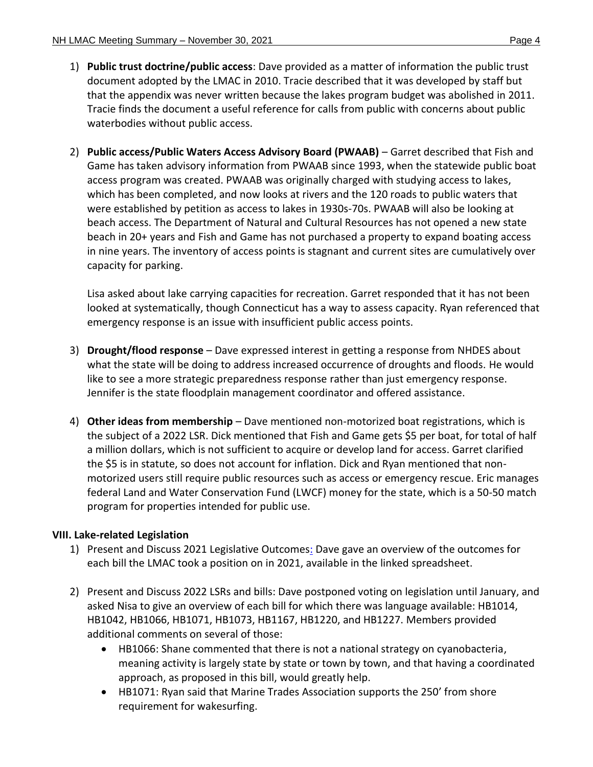- 1) **Public trust doctrine/public access**: Dave provided as a matter of information the public trust document adopted by the LMAC in 2010. Tracie described that it was developed by staff but that the appendix was never written because the lakes program budget was abolished in 2011. Tracie finds the document a useful reference for calls from public with concerns about public waterbodies without public access.
- 2) **Public access/Public Waters Access Advisory Board (PWAAB)** Garret described that Fish and Game has taken advisory information from PWAAB since 1993, when the statewide public boat access program was created. PWAAB was originally charged with studying access to lakes, which has been completed, and now looks at rivers and the 120 roads to public waters that were established by petition as access to lakes in 1930s-70s. PWAAB will also be looking at beach access. The Department of Natural and Cultural Resources has not opened a new state beach in 20+ years and Fish and Game has not purchased a property to expand boating access in nine years. The inventory of access points is stagnant and current sites are cumulatively over capacity for parking.

Lisa asked about lake carrying capacities for recreation. Garret responded that it has not been looked at systematically, though Connecticut has a way to assess capacity. Ryan referenced that emergency response is an issue with insufficient public access points.

- 3) **Drought/flood response** Dave expressed interest in getting a response from NHDES about what the state will be doing to address increased occurrence of droughts and floods. He would like to see a more strategic preparedness response rather than just emergency response. Jennifer is the state floodplain management coordinator and offered assistance.
- 4) **Other ideas from membership** Dave mentioned non-motorized boat registrations, which is the subject of a 2022 LSR. Dick mentioned that Fish and Game gets \$5 per boat, for total of half a million dollars, which is not sufficient to acquire or develop land for access. Garret clarified the \$5 is in statute, so does not account for inflation. Dick and Ryan mentioned that nonmotorized users still require public resources such as access or emergency rescue. Eric manages federal Land and Water Conservation Fund (LWCF) money for the state, which is a 50-50 match program for properties intended for public use.

# **VIII. Lake-related Legislation**

- 1) Present and Discuss 2021 Legislative Outcomes: Dave gave an overview of the outcomes for each bill the LMAC took a position on in 2021, available in the linked spreadsheet.
- 2) Present and Discuss 2022 LSRs and bills: Dave postponed voting on legislation until January, and asked Nisa to give an overview of each bill for which there was language available: HB1014, HB1042, HB1066, HB1071, HB1073, HB1167, HB1220, and HB1227. Members provided additional comments on several of those:
	- HB1066: Shane commented that there is not a national strategy on cyanobacteria, meaning activity is largely state by state or town by town, and that having a coordinated approach, as proposed in this bill, would greatly help.
	- HB1071: Ryan said that Marine Trades Association supports the 250' from shore requirement for wakesurfing.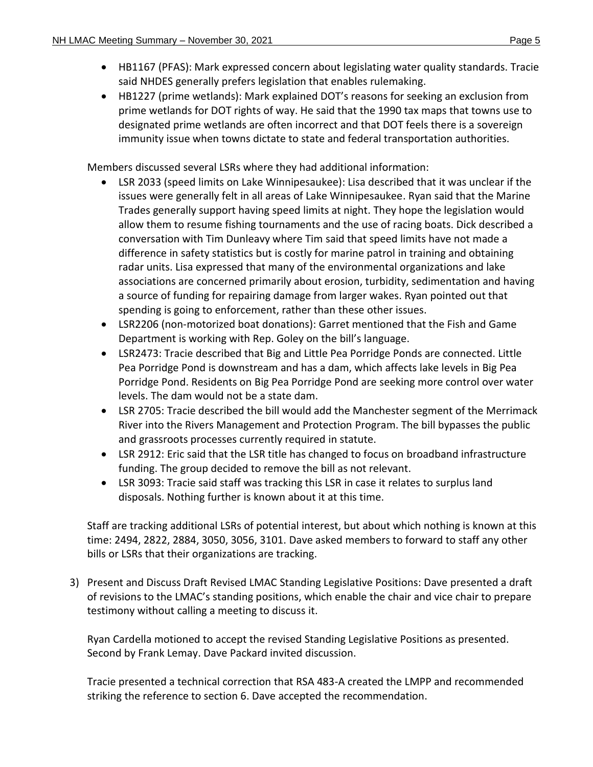- HB1167 (PFAS): Mark expressed concern about legislating water quality standards. Tracie said NHDES generally prefers legislation that enables rulemaking.
- HB1227 (prime wetlands): Mark explained DOT's reasons for seeking an exclusion from prime wetlands for DOT rights of way. He said that the 1990 tax maps that towns use to designated prime wetlands are often incorrect and that DOT feels there is a sovereign immunity issue when towns dictate to state and federal transportation authorities.

Members discussed several LSRs where they had additional information:

- LSR 2033 (speed limits on Lake Winnipesaukee): Lisa described that it was unclear if the issues were generally felt in all areas of Lake Winnipesaukee. Ryan said that the Marine Trades generally support having speed limits at night. They hope the legislation would allow them to resume fishing tournaments and the use of racing boats. Dick described a conversation with Tim Dunleavy where Tim said that speed limits have not made a difference in safety statistics but is costly for marine patrol in training and obtaining radar units. Lisa expressed that many of the environmental organizations and lake associations are concerned primarily about erosion, turbidity, sedimentation and having a source of funding for repairing damage from larger wakes. Ryan pointed out that spending is going to enforcement, rather than these other issues.
- LSR2206 (non-motorized boat donations): Garret mentioned that the Fish and Game Department is working with Rep. Goley on the bill's language.
- LSR2473: Tracie described that Big and Little Pea Porridge Ponds are connected. Little Pea Porridge Pond is downstream and has a dam, which affects lake levels in Big Pea Porridge Pond. Residents on Big Pea Porridge Pond are seeking more control over water levels. The dam would not be a state dam.
- LSR 2705: Tracie described the bill would add the Manchester segment of the Merrimack River into the Rivers Management and Protection Program. The bill bypasses the public and grassroots processes currently required in statute.
- LSR 2912: Eric said that the LSR title has changed to focus on broadband infrastructure funding. The group decided to remove the bill as not relevant.
- LSR 3093: Tracie said staff was tracking this LSR in case it relates to surplus land disposals. Nothing further is known about it at this time.

Staff are tracking additional LSRs of potential interest, but about which nothing is known at this time: 2494, 2822, 2884, 3050, 3056, 3101. Dave asked members to forward to staff any other bills or LSRs that their organizations are tracking.

3) Present and Discuss Draft Revised LMAC Standing Legislative Positions: Dave presented a draft of revisions to the LMAC's standing positions, which enable the chair and vice chair to prepare testimony without calling a meeting to discuss it.

Ryan Cardella motioned to accept the revised Standing Legislative Positions as presented. Second by Frank Lemay. Dave Packard invited discussion.

Tracie presented a technical correction that RSA 483-A created the LMPP and recommended striking the reference to section 6. Dave accepted the recommendation.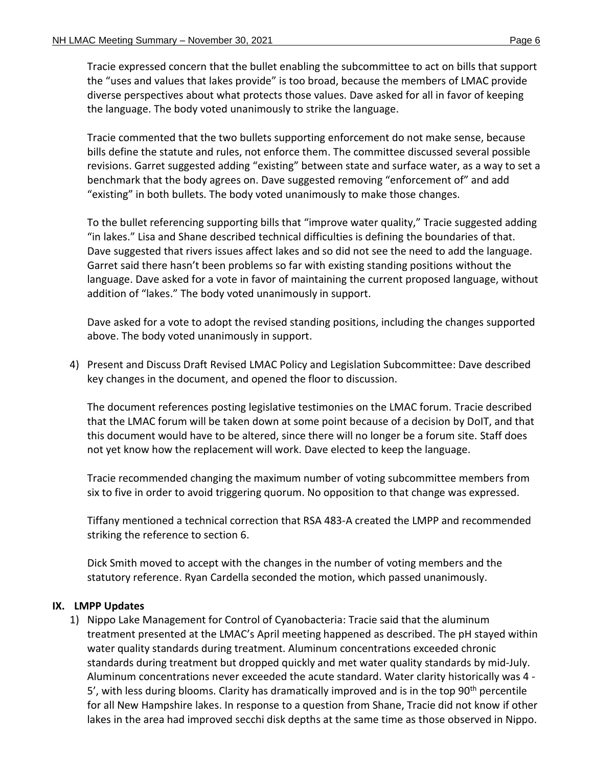Tracie expressed concern that the bullet enabling the subcommittee to act on bills that support the "uses and values that lakes provide" is too broad, because the members of LMAC provide diverse perspectives about what protects those values. Dave asked for all in favor of keeping the language. The body voted unanimously to strike the language.

Tracie commented that the two bullets supporting enforcement do not make sense, because bills define the statute and rules, not enforce them. The committee discussed several possible revisions. Garret suggested adding "existing" between state and surface water, as a way to set a benchmark that the body agrees on. Dave suggested removing "enforcement of" and add "existing" in both bullets. The body voted unanimously to make those changes.

To the bullet referencing supporting bills that "improve water quality," Tracie suggested adding "in lakes." Lisa and Shane described technical difficulties is defining the boundaries of that. Dave suggested that rivers issues affect lakes and so did not see the need to add the language. Garret said there hasn't been problems so far with existing standing positions without the language. Dave asked for a vote in favor of maintaining the current proposed language, without addition of "lakes." The body voted unanimously in support.

Dave asked for a vote to adopt the revised standing positions, including the changes supported above. The body voted unanimously in support.

4) Present and Discuss Draft Revised LMAC Policy and Legislation Subcommittee: Dave described key changes in the document, and opened the floor to discussion.

The document references posting legislative testimonies on the LMAC forum. Tracie described that the LMAC forum will be taken down at some point because of a decision by DoIT, and that this document would have to be altered, since there will no longer be a forum site. Staff does not yet know how the replacement will work. Dave elected to keep the language.

Tracie recommended changing the maximum number of voting subcommittee members from six to five in order to avoid triggering quorum. No opposition to that change was expressed.

Tiffany mentioned a technical correction that RSA 483-A created the LMPP and recommended striking the reference to section 6.

Dick Smith moved to accept with the changes in the number of voting members and the statutory reference. Ryan Cardella seconded the motion, which passed unanimously.

# **IX. LMPP Updates**

1) Nippo Lake Management for Control of Cyanobacteria: Tracie said that the aluminum treatment presented at the LMAC's April meeting happened as described. The pH stayed within water quality standards during treatment. Aluminum concentrations exceeded chronic standards during treatment but dropped quickly and met water quality standards by mid-July. Aluminum concentrations never exceeded the acute standard. Water clarity historically was 4 - 5', with less during blooms. Clarity has dramatically improved and is in the top  $90<sup>th</sup>$  percentile for all New Hampshire lakes. In response to a question from Shane, Tracie did not know if other lakes in the area had improved secchi disk depths at the same time as those observed in Nippo.